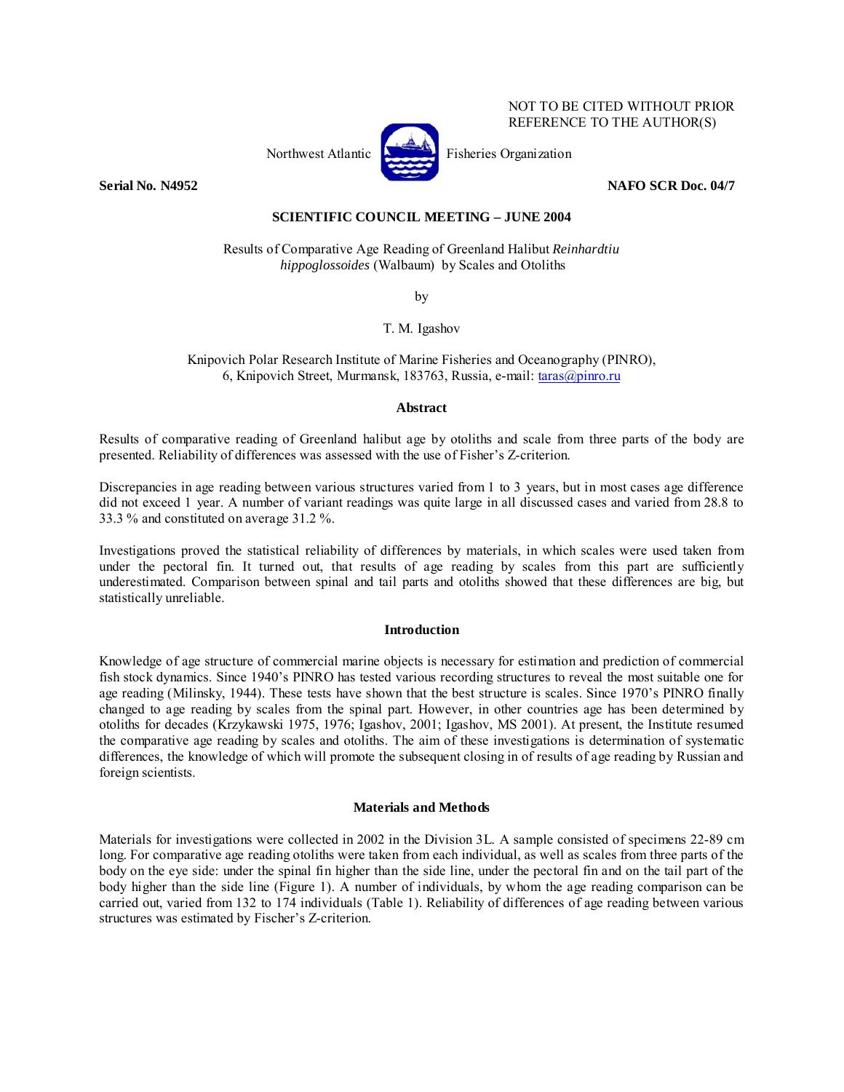

NOT TO BE CITED WITHOUT PRIOR REFERENCE TO THE AUTHOR(S)

**Serial No. N4952** NAFO SCR Doc. 04/7

# **SCIENTIFIC COUNCIL MEETING – JUNE 2004**

Results of Comparative Age Reading of Greenland Halibut *Reinhardtiu hippoglossoides* (Walbaum) by Scales and Otoliths

by

T. M. Igashov

Knipovich Polar Research Institute of Marine Fisheries and Oceanography (PINRO), 6, Knipovich Street, Murmansk, 183763, Russia, e-mail: taras@pinro.ru

## **Abstract**

Results of comparative reading of Greenland halibut age by otoliths and scale from three parts of the body are presented. Reliability of differences was assessed with the use of Fisher's Z-criterion.

Discrepancies in age reading between various structures varied from 1 to 3 years, but in most cases age difference did not exceed 1 year. A number of variant readings was quite large in all discussed cases and varied from 28.8 to 33.3 % and constituted on average 31.2 %.

Investigations proved the statistical reliability of differences by materials, in which scales were used taken from under the pectoral fin. It turned out, that results of age reading by scales from this part are sufficiently underestimated. Comparison between spinal and tail parts and otoliths showed that these differences are big, but statistically unreliable.

## **Introduction**

Knowledge of age structure of commercial marine objects is necessary for estimation and prediction of commercial fish stock dynamics. Since 1940's PINRO has tested various recording structures to reveal the most suitable one for age reading (Milinsky, 1944). These tests have shown that the best structure is scales. Since 1970's PINRO finally changed to age reading by scales from the spinal part. However, in other countries age has been determined by otoliths for decades (Krzykawski 1975, 1976; Igashov, 2001; Igashov, MS 2001). At present, the Institute resumed the comparative age reading by scales and otoliths. The aim of these investigations is determination of systematic differences, the knowledge of which will promote the subsequent closing in of results of age reading by Russian and foreign scientists.

## **Materials and Methods**

Materials for investigations were collected in 2002 in the Division 3L. A sample consisted of specimens 22-89 cm long. For comparative age reading otoliths were taken from each individual, as well as scales from three parts of the body on the eye side: under the spinal fin higher than the side line, under the pectoral fin and on the tail part of the body higher than the side line (Figure 1). A number of individuals, by whom the age reading comparison can be carried out, varied from 132 to 174 individuals (Table 1). Reliability of differences of age reading between various structures was estimated by Fischer's Z-criterion.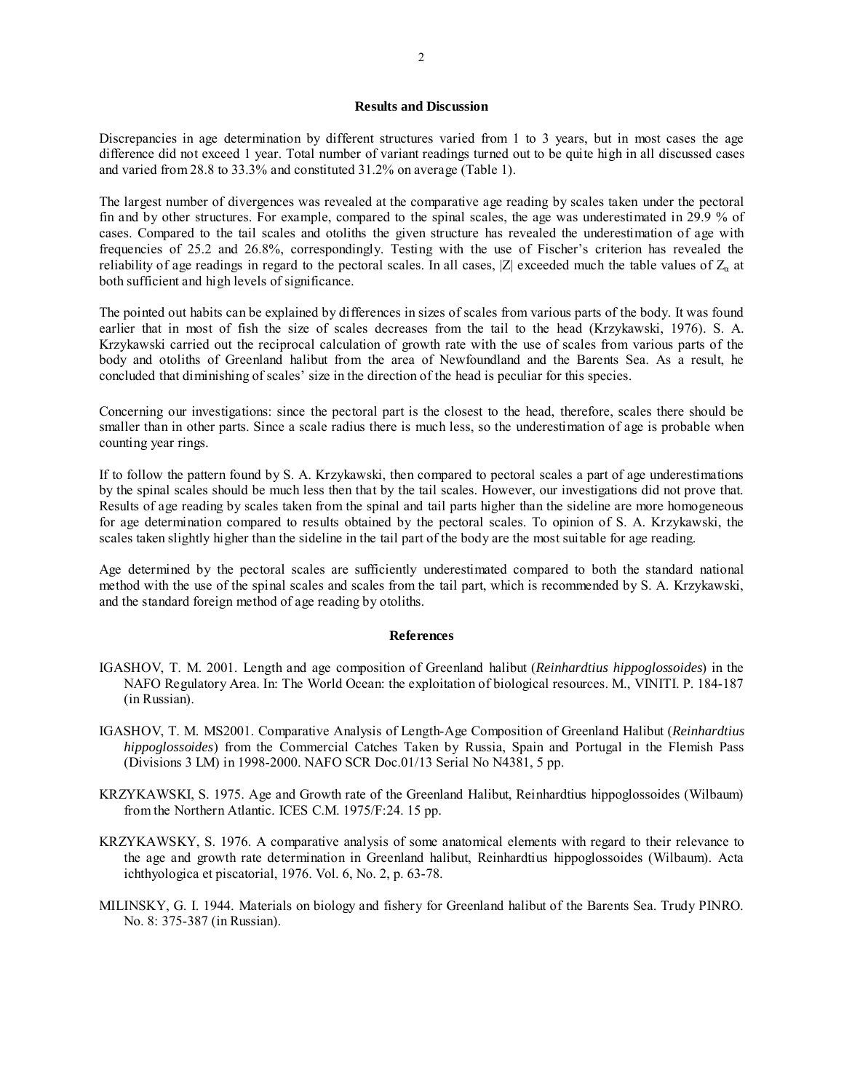#### **Results and Discussion**

Discrepancies in age determination by different structures varied from 1 to 3 years, but in most cases the age difference did not exceed 1 year. Total number of variant readings turned out to be quite high in all discussed cases and varied from 28.8 to 33.3% and constituted 31.2% on average (Table 1).

The largest number of divergences was revealed at the comparative age reading by scales taken under the pectoral fin and by other structures. For example, compared to the spinal scales, the age was underestimated in 29.9 % of cases. Compared to the tail scales and otoliths the given structure has revealed the underestimation of age with frequencies of 25.2 and 26.8%, correspondingly. Testing with the use of Fischer's criterion has revealed the reliability of age readings in regard to the pectoral scales. In all cases, |Z| exceeded much the table values of  $Z_a$  at both sufficient and high levels of significance.

The pointed out habits can be explained by differences in sizes of scales from various parts of the body. It was found earlier that in most of fish the size of scales decreases from the tail to the head (Krzykawski, 1976). S. A. Krzykawski carried out the reciprocal calculation of growth rate with the use of scales from various parts of the body and otoliths of Greenland halibut from the area of Newfoundland and the Barents Sea. As a result, he concluded that diminishing of scales' size in the direction of the head is peculiar for this species.

Concerning our investigations: since the pectoral part is the closest to the head, therefore, scales there should be smaller than in other parts. Since a scale radius there is much less, so the underestimation of age is probable when counting year rings.

If to follow the pattern found by S. A. Krzykawski, then compared to pectoral scales a part of age underestimations by the spinal scales should be much less then that by the tail scales. However, our investigations did not prove that. Results of age reading by scales taken from the spinal and tail parts higher than the sideline are more homogeneous for age determination compared to results obtained by the pectoral scales. To opinion of S. A. Krzykawski, the scales taken slightly higher than the sideline in the tail part of the body are the most suitable for age reading.

Age determined by the pectoral scales are sufficiently underestimated compared to both the standard national method with the use of the spinal scales and scales from the tail part, which is recommended by S. A. Krzykawski, and the standard foreign method of age reading by otoliths.

#### **References**

- IGASHOV, T. M. 2001. Length and age composition of Greenland halibut (*Reinhardtius hippoglossoides*) in the NAFO Regulatory Area. In: The World Ocean: the exploitation of biological resources. M., VINITI. P. 184-187 (in Russian).
- IGASHOV, T. M. MS2001. Comparative Analysis of Length-Age Composition of Greenland Halibut (*Reinhardtius hippoglossoides*) from the Commercial Catches Taken by Russia, Spain and Portugal in the Flemish Pass (Divisions 3 LM) in 1998-2000. NAFO SCR Doc.01/13 Serial No N4381, 5 pp.
- KRZYKAWSKI, S. 1975. Age and Growth rate of the Greenland Halibut, Reinhardtius hippoglossoides (Wilbaum) from the Northern Atlantic. ICES C.M. 1975/F:24. 15 pp.
- KRZYKAWSKY, S. 1976. A comparative analysis of some anatomical elements with regard to their relevance to the age and growth rate determination in Greenland halibut, Reinhardtius hippoglossoides (Wilbaum). Acta ichthyologica et piscatorial, 1976. Vol. 6, No. 2, p. 63-78.
- MILINSKY, G. I. 1944. Materials on biology and fishery for Greenland halibut of the Barents Sea. Trudy PINRO. No. 8: 375-387 (in Russian).